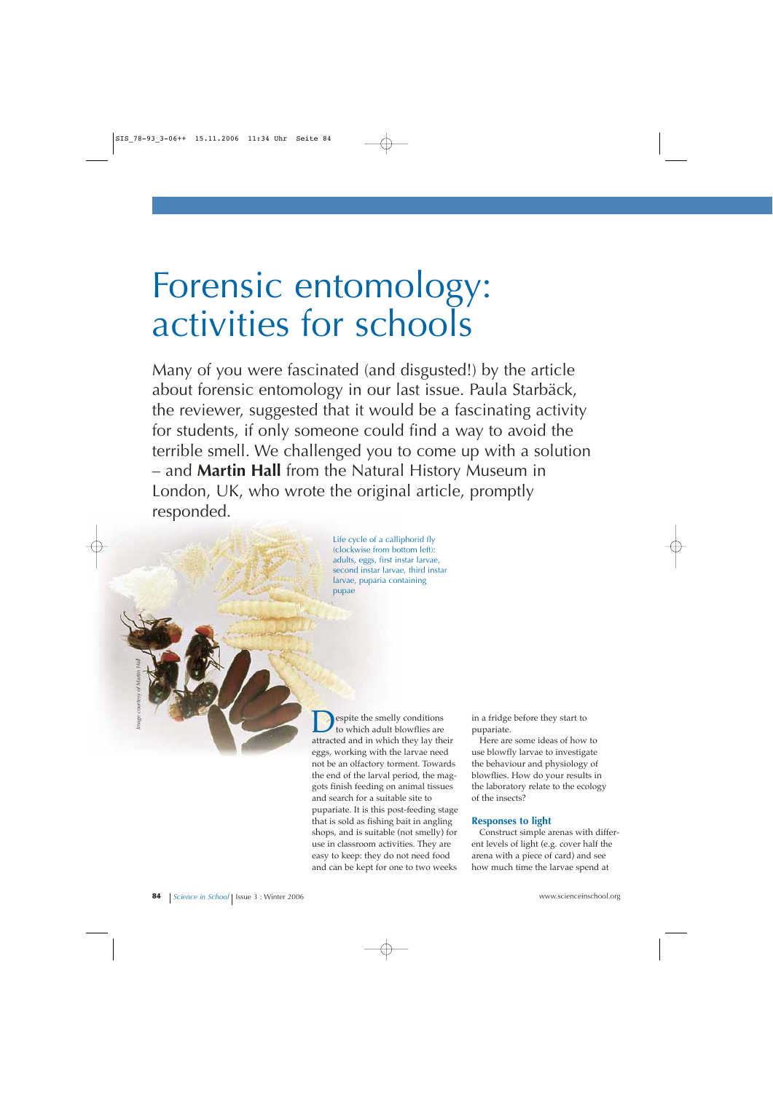# Forensic entomology: activities for schools

Many of you were fascinated (and disgusted!) by the article about forensic entomology in our last issue. Paula Starbäck, the reviewer, suggested that it would be a fascinating activity for students, if only someone could find a way to avoid the terrible smell. We challenged you to come up with a solution – and **Martin Hall** from the Natural History Museum in London, UK, who wrote the original article, promptly responded.

> Life cycle of a calliphorid fly (clockwise from bottom left): adults, eggs, first instar larvae, second instar larvae, third instar larvae, puparia containing pupae

**D**espite the smelly conditions<br>to which adult blowflies are<br>attracted and in which they lay the attracted and in which they lay their eggs, working with the larvae need not be an olfactory torment. Towards the end of the larval period, the maggots finish feeding on animal tissues and search for a suitable site to pupariate. It is this post-feeding stage that is sold as fishing bait in angling shops, and is suitable (not smelly) for use in classroom activities. They are easy to keep: they do not need food and can be kept for one to two weeks

in a fridge before they start to pupariate.

Here are some ideas of how to use blowfly larvae to investigate the behaviour and physiology of blowflies. How do your results in the laboratory relate to the ecology of the insects?

#### **Responses to light**

Construct simple arenas with different levels of light (e.g. cover half the arena with a piece of card) and see how much time the larvae spend at

*Image courtesy of Martin Hall*